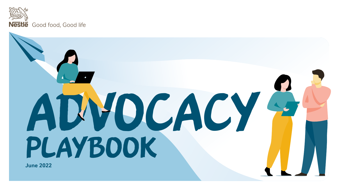

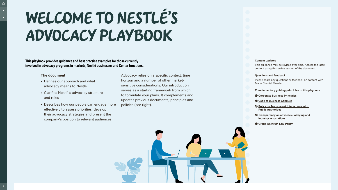**This playbook provides guidance and best practice examples for those currently involved in advocacy programs in markets, Nestlé businesses and Center functions.** 

#### **Content updates**

This guidance may be revised over time. Access the latest content using this online version of the document.

#### **Questions and feedback**

Please share any questions or feedback on content with Marie Chantal Messier.

**Complementary guiding principles to this playbook**

- **[Corporate Business Principles](https://www.nestle.com/sites/default/files/asset-library/documents/library/documents/corporate_governance/corporate-business-principles-en.pdf)**
- **[Code of Business Conduct](https://www.nestle.com/sites/default/files/asset-library/documents/library/documents/corporate_governance/code_of_business_conduct_en.pdf)**
- **[Policy on Transparent Interactions with](https://www.nestle.com/sites/default/files/asset-library/documents/library/documents/corporate_governance/nestle-policy-transparent-interactions-with-public-authorities.pdf)  [Public Authorities](https://www.nestle.com/sites/default/files/asset-library/documents/library/documents/corporate_governance/nestle-policy-transparent-interactions-with-public-authorities.pdf)**
- **[Transparency on advocacy, lobbying and](https://www.nestle.com/sustainability/responsible-business/leadership-advocacy)  [industry associations](https://www.nestle.com/sustainability/responsible-business/leadership-advocacy)**
- **[Group Antitrust Law Policy](https://www.nestle.com/sites/default/files/asset-library/documents/library/documents/about_us/nestle-group-antitrust-law-policy-september-2016.pdf)**



# Welcome to Nestlé's Advocacy Playbook

### **The document**

- Defines our approach and what advocacy means to Nestlé
- Clarifies Nestlé's advocacy structure and roles
- Describes how our people can engage more effectively to assess priorities, develop their advocacy strategies and present the company's position to relevant audiences

Advocacy relies on a specific context, time horizon and a number of other marketsensitive considerations. Our introduction serves as a starting framework from which to formulate your plans. It complements and updates previous documents, principles and policies (see right).





<span id="page-1-0"></span> $\Omega$ 

 $\blacktriangle$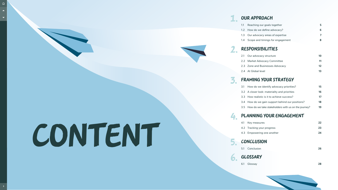# CONTENT

# [1.](#page-3-0) [Our approach](#page-3-0)

- [1.1](#page-4-0) [Reaching our goals together](#page-4-0) **[5](#page-4-0)**
- [1.2](#page-5-0) [How do we define advocacy?](#page-5-0) **[6](#page-5-0)**
- [1.3](#page-6-0) [Our advocacy areas of expertise](#page-6-0)
- [1.4](#page-7-0) [Scope and timings for engagement](#page-7-0) **[8](#page-7-0)**

# [2.](#page-8-0) [Responsibilities](#page-8-0)

- [2.1](#page-9-0) [Our advocacy structure](#page-9-0) **[10](#page-9-0)**
- [2.2](#page-10-0) [Market Advocacy Committee](#page-10-0) **[11](#page-10-0)**
- [2.3](#page-11-0) [Zone and Businesses Advocacy](#page-11-0) **[12](#page-11-0)**
- [2.4](#page-12-0) [At Global level](#page-12-0) **[13](#page-12-0)**

# [3.](#page-13-0) [Framing your strategy](#page-13-0)

- [3.1](#page-14-0) [How do we identify advocacy priorities?](#page-14-0) **[15](#page-14-0)**
- [3.2](#page-15-0) [A closer look: materiality and priorities](#page-15-0) **[16](#page-15-0)**
- [3.3](#page-16-0) [How realistic is it to achieve success?](#page-16-0) **[17](#page-16-0)**
- [3.4](#page-17-0) [How do we gain support behind our positions?](#page-17-0) **[18](#page-17-0)**
- [3.5](#page-18-0) [How do we take stakeholders with us on the journey?](#page-18-0) **[19](#page-18-0)**

# [4.](#page-20-0) [Planning your engagement](#page-20-0)

- [4.1](#page-21-0) [Key measures](#page-21-0) **[22](#page-21-0)**
- [4.2](#page-22-0) [Tracking your progress](#page-22-0) **[23](#page-22-0)**
- [4.3](#page-23-0) [Empowering one another](#page-23-0) **[24](#page-23-0)**

# [5.](#page-24-0) [Conclusion](#page-24-0)

[5.1](#page-25-0) [Conclusion](#page-25-0) **[26](#page-25-0)**



- 
- [6.1](#page-27-0) [Glossay](#page-27-0) **[28](#page-27-0)**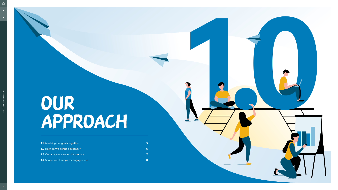| <b>1.1</b> Reaching our goals together      |  |
|---------------------------------------------|--|
| <b>1.2</b> How do we define advocacy?       |  |
| 1.3 Our advocacy areas of expertise         |  |
| <b>1.4</b> Scope and timings for engagement |  |

# <span id="page-3-0"></span>Our approach

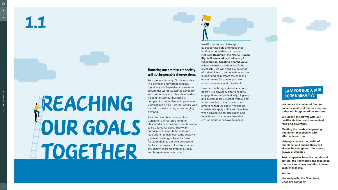1.1

# **AREACHING** our goals TOGETHER

## **Honoring our promises to society will not be possible if we go alone.**

As a global company, Nestlé operates in a complex and vibrant political, regulatory and legislative environment around the world. Sustained advocacy with authorities and other stakeholders helps to ensure our business is compliant, competitive and operates on a level playing field – so that we are well placed to meet existing and emerging demand.

This has never been more critical. Consumers, investors and other stakeholders increasingly want business to be a force for good. They want companies to contribute, and even lead efforts, to help overcome society's greatest challenges. Nestlé's Case for Good defines our own purpose to "unlock the power of food to enhance the quality of life for everyone, today and for generations to come."

<span id="page-4-0"></span> $\blacktriangle$ 

 $\overline{\phantom{a}}$ 

Nestlé rises to this challenge by supporting bold ambitions that hold us accountable, such as our **[Net Zero Roadmap](https://www.nestle.com/sites/default/files/2020-12/nestle-net-zero-roadmap-en.pdf)**, **[the Nestlé Human](https://www.nestle.com/sites/default/files/2021-12/nestle-human-rights-framework-roadmap.pdf)  [Rights Framework](https://www.nestle.com/sites/default/files/2021-12/nestle-human-rights-framework-roadmap.pdf)** and advocacy for **[regeneration](https://www.nestle.com/sustainability/regenerative-food-systems/regeneration)**. **[Creating Shared Value](https://www.nestle.com/csv/what-is-csv)** is how we make a difference. To be successful, we will need a wide range of stakeholders to come with us on the journey and help create the enabling environments for greater positive impact on people and the planet.

## Case for good: Our CORE NARRATIVE

How can we bring stakeholders on board? Our advocacy efforts need to engage them sympathetically, diligently and systematically, starting with a clear understanding of the concerns and ambitions that we share. We should consistently apply a Shared Value lens when advocating for legislation and regulations that create a favorable environment for our own business.

**We unlock the power of food to enhance quality of life for everyone, today and for generations to come.** 

**We unlock this power with our healthy, delicious and convenient food and beverages.**

**Meeting the needs of a growing population responsibly, with affordable nutrition.**

**Helping advance the health of our planet and ensure there will always be enough nutritious food, grown sustainably.** 

**Few companies have the people and culture, the knowledge and resources, the scale and sheer ambition to meet such challenges.**

**We do.**

**We are Nestlé, the Good food, Good life company.**



1.0 OUR APPROACH

1.0 OUR APPROACH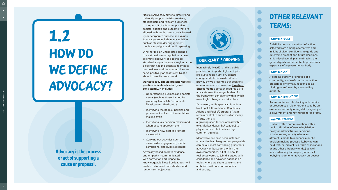Nestlé's Advocacy aims to directly and indirectly support decision-makers, stakeholders and relevant audiences in the pursuit of a broader positive societal agenda and outcome that are aligned with our business goals framed by our corporate purpose and values. Advocacy can include many activities such as stakeholder engagement, media campaigns and public speaking.

Whether it is an unexpected change in a national law or regulation, a new scientific discovery or a technical standard adopted across a region or the globe that has the potential to impact our business and the communities we serve positively or negatively, Nestlé should make its voice heard.

#### **Our advocacy should present Nestlé's position articulately, clearly and consistently. It includes:**

• Understanding business and societal needs (such as those framed by planetary limits, UN Sustainable Development Goals, etc.)

• Identifying the people, policies and processes involved in the decision-

• Identifying key decision makers and when best to approach them

- 
- making cycle
- 
- a viewpoint
- 

• Identifying how best to promote

• Carrying out activities such as stakeholder engagement, media campaigns, and public speaking



# OUR REMIT IS GROWING

Advocacy based on both evidence and empathy - communicated with conviction and respect by knowledgeable Nestlé colleagues - will enable us to meet both shorter- and longer-term objectives.

**Advocacy is the process or act of supporting a cause or proposal.** 

Increasingly, Nestlé is taking public positions on important global topics like sustainable nutrition, climate change and plastic waste. Where previously we presented our positions on a more reactive basis, our **[Creating](https://www.nestle.com/csv/what-is-csv)  [Shared Value](https://www.nestle.com/csv/what-is-csv)** approach requires us to advocate over the longer horizon for the framework conditions within which meaningful change can take place.

# HOW DO WE DEFINE advocacy? 1.2

<span id="page-5-0"></span> $\bigcap$ 

 $\blacktriangle$ 

 $\overline{\phantom{0}}$ 

As a result, while specialist functions like Legal & Compliance, Regulatory Affairs and Public/Corporate Affairs remain central to successful advocacy efforts, there is

a growing need for senior leadership (e.g. Market Heads, BU Leaders) to play an active role in advancing common agendas.

Meanwhile, we have seen instances where Nestlé colleagues company-wide can be our most convincing grassroots advocacy ambassadors within their own communities. All of us should feel empowered to join dialogues with confidence and advance agendas on topics where we share concerns and ambitions with our communities and society.

A definite course or method of action selected from among alternatives and in light of given conditions, to guide and determine present and future decisions; a high-level overall plan embracing the general goals and acceptable procedures, especially of a governmental body.

A binding custom or practice of a community; a rule of conduct or action prescribed or formally recognized as binding or enforced by a controlling authority.

#### WHAT IS A REGULATION?

An authoritative rule dealing with details or procedure; a rule or order issued by an executive authority or regulatory agency of a government and having the force of law.

#### WHAT IS LOBBYING?

Oral or written communication with a public official to influence legislation, policy or administrative decisions. It includes any activity where an attempt is made to influence a public decision making process. Lobbying can be direct, or indirect (via trade associations or any other third party entity) as well as an advocacy technique (but not all lobbying is done for advocacy purposes).



# OTHER RELEVANT TERMS:

#### WHAT IS A POLICY?

#### what is a Law?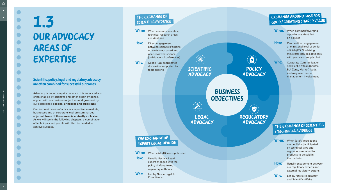<span id="page-6-0"></span> $\hat{\mathbb{D}}$ 

# 1.3 Our advocacy areas of expertise

### **Scientific, policy, legal and regulatory advocacy are often combined for successful outcomes.**

Advocacy is not an empirical science. It is enhanced and often enabled by scientific and other expert evidence, aligned with our business objectives and governed by our established **[policies, principles and guidelines](#page-1-0)** .

When: When common/diverging agendas are identified on policies

**How:** Can be direct engagement at ministerial level or senior officials/KOLS advising ministers; includes advocacy with peers and supply chain

Who: Corporate Communication and Public Affairs (Center, BU, Zone, Market) leads, and may need senior management involvement

# **When:** When common scientific/ are identified **How:** Direct engagement

Our four main areas of advocacy expertise in markets, businesses and at corporate level are summarized adjacent. **None of these areas is mutually exclusive**. As we will see in the following chapters, a combination of techniques and people will often be needed to achieve success.

Who: Nestlé R&D coordinates discussion supported by

> Business **OBJECTIVES**

 $\left(\begin{matrix} 0 \\ 0 \end{matrix}\right)$ SA Policy Scientific advocacy advocacy

> V **REGULATORY** advocacy

# THE EXCHANGE OF scientific evidence

# THE EXCHANGE OF expert legal opinion

**When:** When a (draft) law is published **How:** Usually Nestlé's Legal expert engages with the policy drafting team/ regulatory authority **Who:** Led by Nestlé Legal & **Compliance** 

# THE EXCHANGE OF SCIENTIFIC / technical evidence

**When:** When (draft) regulations are published/anticipated on technical laws and regulations required for products to be sold in the markets. **How:** Usually engagement between our regulatory experts and external regulatory experts Who: Led by Nestlé Regulatory

technical research areas

between scientists/experts on evidenced-based and peer-reviewed science (publications/conferences)

topic experts

and Scientific Affairs



Legal advocacy

 $\sum_{i=1}^{n}$ 

# Exchange around Case for good / creating shared value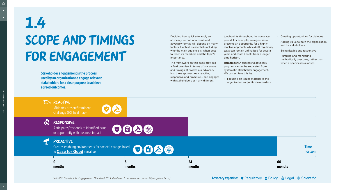Deciding how quickly to apply an advocacy format, or a combined advocacy format, will depend on many factors. Context is essential, including who the main audience is, when best to reach its members and the topic's importance.

The framework on this page provides a fluid overview in terms of our scope and timings. It divides our advocacy into three approaches – reactive, responsive and proactive – and engages with stakeholders at many different

**Remember:** A successful advocacy program cannot be separated from systematic stakeholder engagement. We can achieve this by:*<sup>1</sup>*

touchpoints throughout the advocacy period. For example, an urgent issue presents an opportunity for a highly reactive approach, while draft regulatory texts can remain unfinalized for several years and could benefit from a longer time horizon.

# SCOPE AND TIMINGS FOR ENGAGEMENT 1.4

• Focusing on issues material to the organization and/or its stakeholders

<span id="page-7-0"></span> $\Omega$ 

 $\blacktriangle$ 

- Creating opportunities for dialogue
- Adding value to both the organization and its stakeholders
- Being flexible and responsive
- Pursuing and monitoring methodically over time, rather than when a specific issue arises.

**Stakeholder engagement is the process used by an organization to engage relevant stakeholders for a clear purpose to achieve agreed outcomes.**

**REACTIVE** 

*1 AA1000 Stakeholder Engagement Standard 2015. Retrieved from www.accountability.org/standards/*

**6 months**

**0 months**

### Responsive

Mitigates present/imminent challenge (IRT heat map)







Anticipates/responds to identified issue or opportunity with business impact



 $\overline{\bullet}$ 



## **PROACTIVE**

Creates enabling environments for societal change linked to **[Case for Good](#page-4-0)** narrative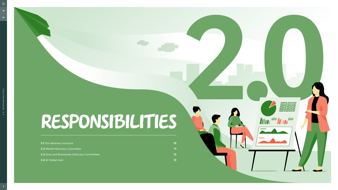**2.1** [Our advocacy structure](#page-9-0) **10**

**2.2** [Market Advocacy Committee](#page-10-0) **11**

**2.3** [Zone and Businesses Advocacy Committees](#page-11-0) **12**

**2.4** [At Global level](#page-12-0) **13**

# <span id="page-8-0"></span>Responsibilities

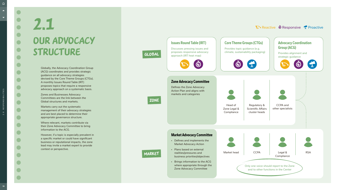# <span id="page-9-0"></span>2.1 OUR ADVOCACY STRUCTURE

Globally, the Advocacy Coordination Group (ACG) coordinates and provides strategic guidance on all advocacy strategies devised by the Core Theme Groups (CTGs). A monthly Issues Round Table (IRT) proposes topics that require a responsive advocacy approach on a systematic basis.

Zones and Businesses Advocacy Committees are the link between the Global structures and markets.

Markets carry out the systematic management of their advocacy strategies and are best placed to determine their appropriate governance structure.

Where relevant, markets contribute via their Zone Advocacy Committee to bring information to the ACG.

However, if a topic is especially prevalent in a specific market or could have significant business or reputational impacts, the zone lead may invite a market expert to provide context or perspective.

### Global

# Zone

# Market





2.0 RESPONSIBILITIES

2.0 RESPONSIBILITIES

 $\sum$  Reactive  $\ddot{\Phi}$  Responsive  $\ddot{\chi}$  Proactive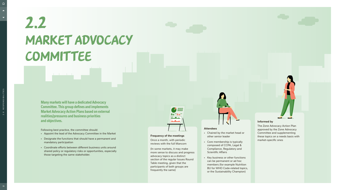# Market Advocacy COMMITTEE 2.2

**Many markets will have a dedicated Advocacy Committee. This group defines and implements Market Advocacy Action Plans based on external realities/pressures and business priorities and objectives.** 

Following best practice, the committee should:

- Appoint the lead of the Advocacy Committee in the Market
- Designate the functions that should have a permanent and mandatory participation
- Coordinate efforts between different business units around shared policy or regulatory risks or opportunities, especially those targeting the same stakeholder.

#### **Frequency of the meetings**

Once a month, with periodic reviews with the full Mancom

(In some markets, it may make more sense to discuss and progress advocacy topics as a distinct section of the regular Issues Round Table meeting, given that the participants of both groups are frequently the same)

<span id="page-10-0"></span> $\bigcap$ 

 $\blacktriangle$ 

#### **Attendees**

- Chaired by the market head or other senior leader
- Core membership is typically composed of CCPA, Legal & Compliance, Regulatory and Scientific Affairs
- Key business or other functions can be permanent or ad hoc members (for example Nutrition BU for WHO Code-related topics, or the Sustainability Champion)

#### **Informed by**

The Zone Advocacy Action Plan approved by the Zone Advocacy Committee and supplementing these topics on a needs basis with market-specific ones



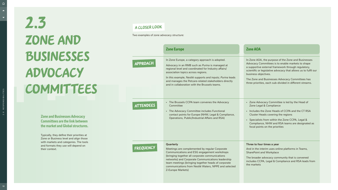| <b>Zone Europe</b>                                                                                                                                                                                                                                                                                                                                                             | <b>Zone AOA</b>                                                                                                                                                                                                                                                                                                                                                           |
|--------------------------------------------------------------------------------------------------------------------------------------------------------------------------------------------------------------------------------------------------------------------------------------------------------------------------------------------------------------------------------|---------------------------------------------------------------------------------------------------------------------------------------------------------------------------------------------------------------------------------------------------------------------------------------------------------------------------------------------------------------------------|
| In Zone Europe, a category approach is adopted.<br>Advocacy in an RMB such as <i>Purina</i> is managed at<br>regional level and coordinated for Industry affairs/<br>association topics across regions.<br>In this example, Nestlé supports and inputs; Purina leads<br>and manages the Petcare-related stakeholders directly<br>and in collaboration with the Brussels teams. | In Zone AOA, the purpose of the Zone and Businesses<br>Advocacy Committees is to enable markets to shape<br>a supportive external framework through regulatory,<br>scientific or legislative advocacy that allows us to fulfil our<br>business objectives.<br>The Zone and Businesses Advocacy Committees has<br>three priorities, each sub-divided in different streams. |
| • The Brussels CCPA team convenes the Advocacy<br>Committee<br>• The Advocacy Committee includes Functional<br>contact points for Europe (NHW, Legal & Compliance,<br>Operations, Public/Industrial Affairs and RSA)                                                                                                                                                           | • Zone Advocacy Committee is led by the Head of<br>Zone Legal & Compliance<br>Includes the Zone Heads of CCPA and the CT RSA<br>$\bullet$<br>Cluster Heads covering the regions<br>• Specialists from within the Zone CCPA, Legal &<br>Compliance, NHW and RSA teams are designated as<br>focal points on the priorities                                                  |
| Quarterly<br>Meetings are complemented by regular Corporate<br>Communications and ESG engagement workshops<br>(bringing together all corporate communications)<br>networks) and Corporate Communications leadership<br>team meetings (bringing together heads of corporate<br>communications from Nestlé Waters, NPPE and selected<br>Z-Europe Markets)                        | Three to four times a year<br>And in the interim uses online platforms in Teams,<br><b>SharePoint and Workplace</b><br>The broader advocacy community that is convened<br>includes CCPA, Legal & Compliance and RSA leads from<br>the markets                                                                                                                             |



<span id="page-11-0"></span> $\blacktriangle$ 

 $\blacktriangledown$ 

Approach

Attendees

Zone and Businesses Advocacy **COMMITTEES** 2.3

Two examples of zone advocacy structure:

**Zone and Businesses Advocacy Committees are the link between the market and Global structures.**

Typically, they define their priorities at Zone or Business level and align those with markets and categories. The tools and formats they use will depend on their context.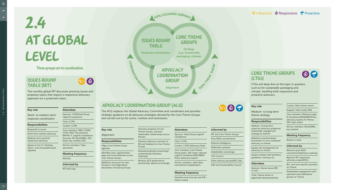## Issues Round Table (IRT)



The monthly global IRT discusses pressing issues and proposes topics that require a responsive advocacy approach on a systematic basis.

#### **Key role**

Short- to medium-term response coordination

#### **Responsibilities**

Responds to issues

Short-term reactive advocacy

Medium-term reactive/ responsive advocacy

Agrees to list of "standing topics" and reviewed/revised regularly

# Advocacy **COORDINATION GROUP**

#### **Attendees**

# Core Theme **GROUPS**

Sponsor: COO/Head Group Legal & Compliance

Chair: CCPA

Curator: CCPA

Core members: R&D, COQM, CCPA, RSA, Procurement, BNHW, IT, Legal & Compliance, Security, HR, BUs/GMBs, ZAC leads, key markets (US)

Ad hoc members: Topic specialists

#### **Meeting frequency**

Monthly

#### **Informed by**

IRT heat map



### $\mathbb{R}$  Reactive  $\Phi$  Responsive  $\mathbb{R}$  Proactive

"radar"

**Alignment**

| f Core     |  |
|------------|--|
| ates'      |  |
| ships acro |  |

**Strategy (e.g. Sustainable packaging, climate)**

**Topic Thirty** 

# Issues Round Table

**Response coordination**

# At Global level 2.4

#### **Three groups act in coordination.**

## Core Theme Groups (CTGs)



CTGs will deep dive on the topic in question, such as for sustainable packaging and climate, handling both responsive and proactive advocacy.

#### **Key role**

Medium- to long-term theme strategy

#### **Responsibilities**

Medium- to long-term proactive advocacy programs/ stakeholder engagement strategy for themes

Oversees progress of Theme Groups, activ stakeholder relationships across themes

Presents advocacy overview to EB and feedback to Core Theme **Groups** 

Mobilizes zones/markets/ businesses to carry out/report advocacy on theme

Equips top management for advocacy on theme

Equips markets with positions, guidelines, training, etc.

#### **Attendees**

Sponsor: theme owner (EB or not)

Chair: theme owner or appointed representative(s) Curator: Main theme owner

Support: Hub curator (PA)

<span id="page-12-0"></span> $\bigcap$ 

 $\blacktriangle$ 

 $\blacktriangledown$ 

Core members: Relevant Legal & Compliance/RSA/R&D/Policy advocacy experts for theme; ZAC topic expert

Ad hoc members: BUs/GMBs, key markets

#### **Meeting frequency**

Based on need

#### **Informed by**

Relevant post-2020 commitment(s)/theme roadmap

Relevant IRT responsive advocacy output/ZACs

BU- and zone-specific priorities on Theme

Stakeholder engagement with specialist internal/external groups on Theme



# Advocacy Coordination Group (ACG)

Coordination Court Minister

The ACG replaces the Global Advocacy Committee and coordinates and provides strategic guidance on all advocacy strategies devised by the Core Theme Groups and carried out by the zones, markets and businesses.

#### **Key role**

#### Alignment

#### **Responsibilities**

Aligns Core Theme Group agendas

Identifies risks, opportunities, gaps and inconsistencies across Core Theme Groups

Mobilizes resources for new Groups or reconfiguration/ dissolution of existing Groups Shares/coordinates proactively/ systematically (between meetings)

Reviews ACG performance dynamically, adjusts accordingly

| <b>Attendees</b>                                             |
|--------------------------------------------------------------|
| Sponsor: Head Group Legal &<br>Compliance                    |
| Chair: CCPA                                                  |
| <b>Curator: CCPA (Advocacy Hub)</b>                          |
| Core members: Core Theme<br>Group leads, ZAC leads, relevant |

Legal & Compliance/RSA/R&D/ Policy advocacy experts Ad hoc members: select BUs,

commitment leads/experts

#### **Meeting frequency**

Quarterly and once per year EB + interim online

# $\begin{picture}(130,10) \put(0,0){\line(1,0){15}} \put(15,0){\line(1,0){15}} \put(15,0){\line(1,0){15}} \put(15,0){\line(1,0){15}} \put(15,0){\line(1,0){15}} \put(15,0){\line(1,0){15}} \put(15,0){\line(1,0){15}} \put(15,0){\line(1,0){15}} \put(15,0){\line(1,0){15}} \put(15,0){\line(1,0){15}} \put(15,0){\line(1,0){15}} \put(15,0){\line($

#### **Informed by**

IRT and Core Theme Groups

Post-2020 commitments

External intelligence

Materiality analyses

Stakeholder convenings

CSV Council

Other advisory groups/KOL labs

ESG and Sustainability Council

**13**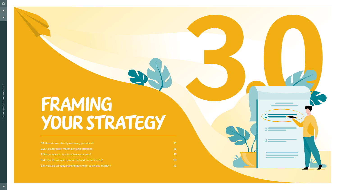- **3.1** [How do we identify advocacy priorities?](#page-14-0) **15**
- **3.2** [A closer look: materiality and priorities](#page-15-0) **16**
- **3.3** [How realistic is it to achieve success?](#page-16-0) **17**
- **3.4** [How do we gain support behind our positions?](#page-17-0) **18**
- **3.5** [How do we take stakeholders with us on the journey?](#page-18-0) **19**

<span id="page-13-0"></span> $\blacktriangle$ 

# FRAMING your strategy

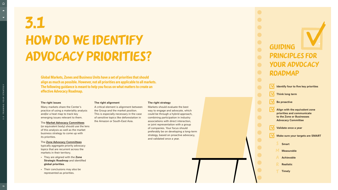<span id="page-14-0"></span> $\hat{\mathbb{D}}$ 

# HOW DO WE IDENTIFY advocacy priorities? 3.1

#### **The right issues**

Many markets share the Center's practice of using a materiality analysis and/or a heat map to track key emerging issues relevant to them.

#### The **[Market Advocacy Committees](#page-10-0)**

(or equivalent body) should use the lens of this analysis as well as the market business strategy to come up with its priorities.

#### The **[Zone Advocacy Committees](#page-11-0)**

typically aggregate priority advocacy topics that are recurrent across the

- markets in their territory. They are aligned with the **Zone Strategic Roadmap** and identified **global priorities**.
- Their conclusions may also be represented as priorities.

#### **The right alignment**

# **GUIDING** principles for your Advocacy Roadmap

A critical element is alignment between the Group and the market position. This is especially necessary in the case of sensitive topics like deforestation in the Amazon or South-East Asia.

#### **The right strategy**

Markets should evaluate the best way to engage and advocate, which could be through a hybrid approach, combining participation in industry associations with direct interaction, or joint representation with a group of companies. Your focus should preferably be on developing a long-term strategy, based on proactive advocacy, and validated once a year.





**Global Markets, Zones and Business Units have a set of priorities that should align as much as possible. However, not all priorities are applicable to all markets. The following guidance is meant to help you focus on what matters to create an effective Advocacy Roadmap.**

3 . 0 F R A M I N G Y O U R S T R AT E G Y

3.0 FRAMING YOUR STRATEGY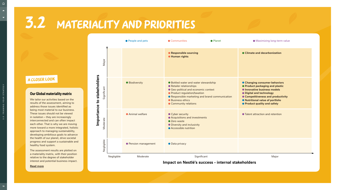### **Our Global materiality matrix**

We tailor our activities based on the results of the assessment, aiming to address those issues identified as being most material to our business. These issues should not be viewed in isolation – they are increasingly interconnected and can often impact each other. That is why we are moving more toward a more integrated, holistic approach to managing sustainability, developing ambitious goals to advance the health of our planet, drive societal progress and support a sustainable and healthy food system.

The assessment results are plotted on a materiality matrix, with their position relative to the degree of stakeholder interest and potential business impact.

**[Read more](https://www.nestle.com/sustainability/responsible-business/materiality)**

### A Closer Look

# 3.2 Materiality and priorities

<span id="page-15-0"></span> $\bigcap$ 

 $\blacktriangle$ 

 $\blacktriangledown$ 

|            | ● People and pets     | Communities<br>• Planet                                                                                                                                                                                                                            | <b>O</b> Maximizing long-term value                                                                                                                                                                                                           |
|------------|-----------------------|----------------------------------------------------------------------------------------------------------------------------------------------------------------------------------------------------------------------------------------------------|-----------------------------------------------------------------------------------------------------------------------------------------------------------------------------------------------------------------------------------------------|
|            |                       | • Responsible sourcing<br><b>• Human rights</b>                                                                                                                                                                                                    | ● Climate and decarbonization                                                                                                                                                                                                                 |
|            | <b>• Biodiversity</b> | ● Bottled water and water stewardship<br>• Retailer relationships<br>● Geo-political and economic context<br>● Product regulation/taxation<br>• Responsible marketing and brand communication<br><b>• Business ethics</b><br>• Community relations | ● Changing consumer behaviors<br>● Product packaging and plastic<br><b>O</b> Innovative business models<br>• Digital and technology<br>● Competitiveness and productivity<br>• Nutritional value of portfolio<br>● Product quality and safety |
|            | <b>Animal welfare</b> | • Cyber security<br>● Acquisitions and investments<br>• Zero waste<br>• Diversity and inclusivity<br>● Accessible nutrition                                                                                                                        | • Talent attraction and retention                                                                                                                                                                                                             |
|            | ● Pension management  | • Data privacy                                                                                                                                                                                                                                     |                                                                                                                                                                                                                                               |
| Negligible | Moderate              | Significant                                                                                                                                                                                                                                        | Major                                                                                                                                                                                                                                         |



### **Impact on Nestlé's success - internal stakeholders**

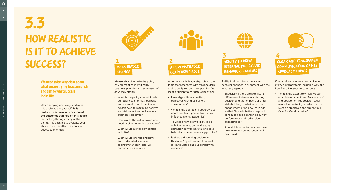Measurable change in the policy environment as identified by business priorities and as a result of advocacy efforts

- What is the policy context in which our business priorities, purpose and external commitments can be achieved to maximize positive societal impact and achieve our business objectives?
- How would the policy environment need to change for this to happen?
- What would a level playing field look like?
- What would change and how, and under what scenario or circumstances? (ideal vs compromise scenarios)

<span id="page-16-0"></span> $\bigcap$  $\blacktriangle$ 

 $\blacktriangledown$ 

A demonstrable leadership role on the topic that resonates with stakeholders and strongly supports our position (at least sufficient to mitigate opposition)

- How aligned is our position/ objectives with those of key stakeholders?
- What is the degree of support we can count on? From peers? From other influencers (e.g. academics)?
- To what extent are we likely to be able to create strong and lasting partnerships with key stakeholders behind a common advocacy position?
- Is there a dissenting position on this topic? By whom and how well is it articulated and supported with evidence?



ABILITY TO DRIVE internal policy and behavior changes  $3 \qquad \qquad 4$ 

#### Measurable CHANGE 1 $1 \hspace{2.5cm} 2$

Ability to drive internal policy and behavior changes in alignment with the advocacy agenda

# A demonstrable LEADERSHIP ROLE

- Especially if there are significant differences between our starting position and that of peers or other stakeholders, to what extent can engagement bring new learnings so that Nestlé is better equipped to reduce gaps between its current performance and stakeholder expectations?
- At which internal forums can these new learnings be presented and discussed?



Clear and transparent communication of key advocacy tools including why and how Nestlé intends to contribute

• What is the extent to which we can articulate an ambitious "Nestlé voice" and position on key societal issues related to the topic, in order to drive Nestlé's objectives and support our Case for Good narrative?



# How realistic is it to achieve success? 3.3

**We need to be very clear about what we are trying to accomplish and define what success looks like.**

When scoping advocacy strategies, it is useful to ask yourself: **is it realistic to achieve one or more of the outcomes outlined on this page?** By thinking through many of the points, it is possible to evaluate your ability to deliver effectively on your advocacy priorities.



Clear and transparent communication of key advocacy topics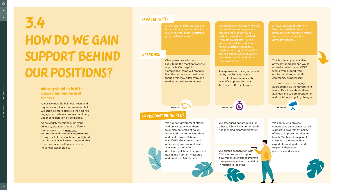Advocacy must be built over years and requires a lot of local commitment, but will often be more effective than ad hoc engagement when a proposal is already under consideration by politicians.

# HOW DO WE GAIN support behind our positions? 3.4

As previously mentioned, different advocacy situations require different time perspectives – **[reactive,](#page-7-0)  [responsive and proactive approaches](#page-7-0)**. In any or all of the situations highlighted on this page, it will always be preferable

to act in concert with peers or other influential stakeholders.

### **Advocacy should not be left to chance or managed on an ad hoc basis.**

Clearly reactive advocacy is likely to be the most appropriate approach. Our Legal & Compliance teams will probably lead the response in most cases, though this may differ from one market or business to the next.

We support government efforts, and only engage with them to implement efficient policy frameworks to improve nutrition and health. We collaborate with WHO, Governments and other intergovernmental health agencies in their efforts to develop regulations to implement health and nutrition measures and on other ESG matters.



A responsive advocacy approach, led by our Regulatory and Scientific Affairs teams with scientific support from our Technical or R&D colleagues.

**Reactive Construction Construction Construction Responsive Responsive Construction Construction Proactive** 

We pursue cooperation with **the peer-reviewed science**. CSOs to promote & support governmental efforts to improve transparency and accountability in relation to lobbying.

This is primarily a proactive advocacy approach and would normally be led by our CCPA teams with support from our technical and scientific community as necessary.

This will need to be engaged appropriately as the government takes office to establish shared agendas and to both prepare for and contribute to policy changes.



We continue to provide constructive and science-based support to government policy efforts to improve nutrition and health. We favor transparent scientific dialogues with all experts from all parties and respect independent,



A (perhaps unexpected) specific issue with a narrow window to influence emergency legislation proposed in its wake...

A legislative or regulatory text on technical laws and regulations required for products to be sold in the markets published in an official gazette - with a known and reliable procedure for consultation, reasonable timelines and high likelihood that science-based evidence will be considered and amendments duly incorporated...

A newly elected government that has published policy promises in its manifesto related to one or more of our key advocacy themes...

Response



<span id="page-17-0"></span> $\hat{\mathbb{D}}$ 

 $\blacktriangle$ 

 $\blacktriangledown$ 

### IF FACED WITH...

We safeguard opportunities for other to lobby, including through not spending disproportionately.

### important principles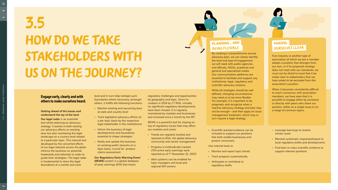# <span id="page-18-0"></span>HOW DO WE TAKE stakeholders with us on the journey? 3.5

### **Engage early, clearly and with others to make ourselves heard.**

#### **Getting ahead of the issues and understand the lay of the land**

**Our legal radar** is an essential tool whilst planning an advocacy strategy. It assists in both tacking our advocacy efforts on existing laws but also monitoring the legal landscape on a country level related to a particular topic. This internal tool developed by the concerted efforts of our legal network across the globe informs the business on potential headwinds and tailwinds in order to guide their strategies. The legal radar is fundamental to draw the legal boundaries at a market and zone

level and in turn help reshape such boundaries where necessary, amongst others, it fulfills the following functions:

- Monitor existing and upcoming laws at state and country level
- Track legislative advocacy efforts on a per topic basis by the respective legal stakeholder in the market/zone
- Inform the business of legal developments and boundaries essential to shape strategies
- Notify and update the business on existing public lawsuits on a topic basis, crucial for product claims assessment
- Monitor and report topic trends
- Track progress systematically
- Anticipate or contribute to regulatory drafts

**Our Regulatory Early Warning Event (REWE)** system is a global database of early warnings (EW) that tracks

regulatory challenges and opportunities by geography and topic. Since its creation in 2014 by CT RSA, virtually no significant regulatory developments have been missed. It is regularly maintained by markets and businesses and reviewed once a month by the IRT.

REWE is a powerful tool for staying on top of regulatory issues that may affect our markets and zones:

- 
- 
- 

• Trends are regularly tracked and reported to RSA, the global advocacy community and senior management

• Progress is methodically tracked (704 active early warnings were reported as of 1st November 22, 2021)

• Alert systems can be enabled for topic managers and local and regional EW owners



### Planning… and being flexible

### Making ourselves clear

• Scientific-backed evidence can be included to support our positions that both enable businesses and protect consumers

Use internal tools to

- Leverage learnings to resolve similar cases
- Marshal systematic responses/inputs to local regulatory drafts and developments
- Find best-in-class scientific evidence to support relevant positions

By creating a comprehensive annual advocacy plan, we can clearly identify the level and type of engagement we will need with public agencies and officials, NGOs, academia and general and specialized media. Our communication platforms are essential to facilitate and support any institutional, legal, regulatory and scientific advocacy streams.

While all strategies should be well defined, changing circumstances may need us to be more flexible. For example, it is important to be pragmatic and recognize when a reactive advocacy strategy and plan may not be enough – and then apply an issue management treatment, which may in turn require a legal strategy.

If an industry or another type of association of which we are a member adopts a position that diverges from our own, or if its proposed strategy does not meet with our standards, we must not be afraid to insist that it be made clear to stakeholders that we have asked to be excluded from the association's position.

When it becomes consistently difficult to reach consensus with association members, we have seen that it is possible to engage either by ourselves or directly with peers who share our position, either on a single issue or on a range of common topics.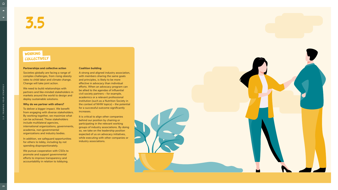$\blacktriangledown$ 

# 3.5

#### **Partnerships and collective action**

Societies globally are facing a range of complex challenges, from rising obesity rates to child labor and climate change. Change will take joint action.

We need to build relationships with partners and like-minded stakeholders in markets around the world to design and deploy sustainable solutions.

#### **Why do we partner with others?**

To deliver a bigger impact. We benefit from engaging with diverse stakeholders. By working together, we maximize what can be achieved. These stakeholders include multilateral agencies, international organizations, governments, academia, non-governmental organizations and industry bodies.

In addition, we safeguard opportunities for others to lobby, including by not spending disproportionately.

It is critical to align other companies behind our position by chairing or participating in the relevant working groups of industry associations. By doing so, we take on the leadership position expected of us on advocacy initiatives, while executing with other companies or industry associations.

We pursue cooperation with CSOs to promote and support governmental efforts to improve transparency and accountability in relation to lobbying.



#### **Coalition building**

A strong and aligned industry association, with members sharing the same goals and principles, is likely to be more effective in advocacy than individual efforts. When an advocacy program can be allied to the agendas of influential civil society partners – for example, academics or a relevant professional institution (such as a Nutrition Society in the context of NHW topics) – the potential for a successful outcome significantly increases.

## Working collectively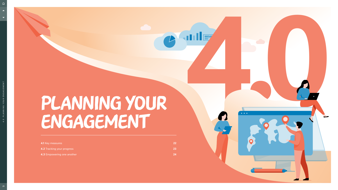# Planning your ENGAGEMENT

- **4.2** [Tracking your progress](#page-22-0) **23**
- **4.3** [Empowering one another](#page-23-0) **24**

<span id="page-20-0"></span>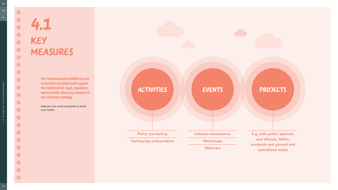<span id="page-21-0"></span> $\blacktriangledown$ 

# 4.1 Key measures

**Our communication platforms are essential to facilitate and support the institutional, legal, regulatory and scientific advocacy streams of our advocacy strategy.**

Adjacent are some examples to build your toolkit.

# ACTIVITI

**Policy monito** 

**Visiting key policy** 

| IES            | <b>EVENTS</b>                       | PROJECTS                                                                                                  |  |  |
|----------------|-------------------------------------|-----------------------------------------------------------------------------------------------------------|--|--|
|                |                                     |                                                                                                           |  |  |
| <b>pring</b>   | <b>Industry associations</b>        | <b>E.g. with public agencies</b><br>and officials, NGOs,<br>academia and general and<br>specialized media |  |  |
| <b>ymakers</b> | <b>Workshops</b><br><b>Webinars</b> |                                                                                                           |  |  |

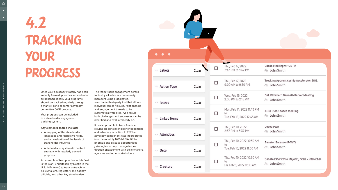<span id="page-22-0"></span> $\blacktriangle$ 

 $\blacktriangledown$ 

# Tracking your progress 4.2

Once your advocacy strategy has been suitably framed, priorities set and roles established, ideally your programs should be tracked regularly through a market, zone or center advocacy committee OMP process.

Your progress can be included in a stakeholder engagement tracking system.

#### **Key elements should include:**

- A mapping of the stakeholder landscape and respective fields, and an evaluation of the levels of stakeholder influence
- A defined and systematic contact strategy with regularly tracked progress.

An example of best practice in this field is the work undertaken by Nestlé in the U.S. (NiM team) to track outreach to policymakers, regulatory and agency officials, and other key stakeholders.

The team tracks engagement across topics by all advocacy community members using a dedicated, searchable third-party tool that allows individual topics / issues, relationships and engagement threads to be systematically tracked. As a result, both challenges and successes can be identified and evaluated early on.

It is also possible to track financial returns on our stakeholder engagement and advocacy activities. In 2021 an advocacy component was incorporated into the monthly NiM-NUSA IRT to prioritize and discuss opportunities / strategies to help manage issues through engagement with policymakers, agencies and other stakeholders.

4.0 PLANNING YOUR ENGAGEMENT

4.0 PLANNING YOUR ENGAGEMENT

|                     | $\bullet$ |        |                                                                |                                                              |
|---------------------|-----------|--------|----------------------------------------------------------------|--------------------------------------------------------------|
| <b>Designation</b>  |           |        |                                                                |                                                              |
| $\sim$ Labels       | Clear     |        | Thu, Feb 17, 2022<br>2:42 PM to 3:42 PM                        | Cocoa Meeting w/ USTR<br>& John Smith                        |
| $\sim$ Action Type  | Clear     |        | Thu, Feb 17, 2022<br>9:00 AM to 9:30 AM                        | Trucking Apprenticeship Accelerator, DOL<br>‰ John Smith     |
| $\vee$ Issues       | Clear     | □      | Wed, Feb 16, 2022<br>2:00 PM to 2:15 PM                        | Del. Elizabeth Bennett-Parker Meeting<br>ஃ John Smith        |
| $\vee$ Linked Items | Clear     | □      | Mon, Feb 14, 2022 11:43 PM<br>to<br>Tue, Feb 15, 2022 12:43 AM | APBI Plant-based meeting<br>ஃ John Smith                     |
| $\sim$ Attendees    | Clear     | $\Box$ | Thu, Feb 10, 2022<br>2:37 PM to 3:37 PM                        | Cocoa Plan<br>& John Smith                                   |
| $\backsim$ Date     | Clear     | $\Box$ | Thu, Feb 10, 2022 10:30 AM<br>to<br>Tue, Feb 15, 2022 11:00 AM | Senator Barasso (R-WY)<br>& John Smith                       |
| $\vee$ Creators     | Clear     | L      | Thu, Feb 10, 2022 10:30 AM<br>to<br>Fri, Feb 11, 2022 11:00 AM | Senate EPW Cmte Majority Staff - Intro C<br>୍ଭଞ୍ଜ John Smith |
|                     |           |        |                                                                |                                                              |

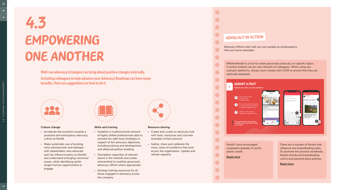# Empowering one another 4.3

**Well-run advocacy strategies can bring about positive changes internally.**

**Including colleagues to help advance your Advocacy Roadmap can have many benefits. Here are suggestions on how to do it.** 



There are a number of factors that influence low breastfeeding rates. To promote the practice worldwide, Nestlé introduced breastfeeding rooms and parental-leave policies.

#### **[Read more](https://www.nestle.com/sustainability/nutrition-health/breastfeeding)**

#WeAreNestlé is a tool to create grassroots advocacy on specific topics in active markets via our own network of colleagues. When using any outreach platforms, always work closely with CCPA to ensure that they are optimally deployed.

Nestlé Cares encouraged employees globally to tackle plastic waste.

**[Read more](https://www.nestle.com/sustainability/people-communities)**



**manager, your post will be visible** 

**on the feed!**



4 **Submit any news you are proud of**

#### Submit a post





#### **Culture change**

<span id="page-23-0"></span> $\hat{\mathbb{D}}$ 

 $\blacktriangle$ 

 $\blacktriangledown$ 

- Accelerate the evolution towards a proactive and anticipatory advocacy culture at Nestlé
- Make systematic use of existing early warning tools and dialogue with stakeholders who advocate and can influence policy to identify and understand emerging concerns/ issues, while identifying earlier longer-horizon opportunities to engage



#### **Skills and training**

- Establish a multifunctional network of highly skilled professionals able to activate the right local strategies in support of the advocacy objectives, including training and development, and alliance/coalition building
- Strengthen capacities of relevant teams in the markets and create wherewithal to mobilize grassroots advocacy efforts where appropriate
- Develop training resources for all those engaged in advocacy across the company

#### **Resource sharing**

- 
- 

• Create and curate an advocacy hub with tools, resources and concrete examples of best practice

• Gather, share and celebrate the many cases of excellence that exist across the organization. Update and refresh regularly

Advocacy efforts start with our own people as ambassadors. Here are some examples.

### Advocacy in Action

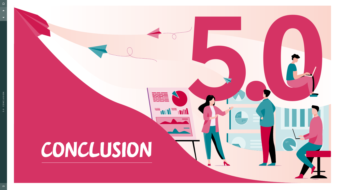<span id="page-24-0"></span>

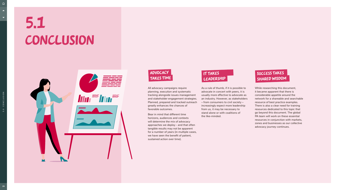# Conclusion 5.1



All advocacy campaigns require planning, execution and systematic tracking alongside issues management and stakeholder engagement strategies. Planned, prepared and tracked outreach greatly enhances the chances of favorable outcomes.

<span id="page-25-0"></span> $\blacktriangledown$ 

Bear in mind that different time horizons, audiences and contexts will determine the mix of advocacy approaches we deploy - and that often tangible results may not be apparent for a number of years (in multiple cases, we have seen the benefit of patient, sustained action over time).

## SUCCESS TAKES shared wisdom

As a rule of thumb, if it is possible to advocate in concert with peers, it is usually more effective to advocate as an industry. However, as stakeholders – from consumers to civil society – increasingly expect more leadership from us, it may be necessary to stand alone or with coalitions of the like-minded.

While researching this document, it became apparent that there is considerable appetite around the network for a shareable and searchable resource of best practice examples. There is also a clear need for training resources dedicated to this topic that go beyond this document. The global PA team will work on these essential resources in conjunction with markets, zones and businesses as our collective advocacy journey continues.





## It takes leadership

5.0 CONCLUSION

5.0 CONCLUSION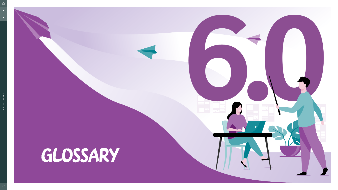<span id="page-26-0"></span>